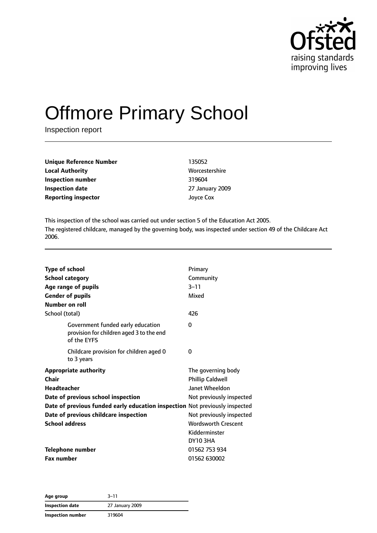

# Offmore Primary School

Inspection report

| 135052          |
|-----------------|
| Worcestershire  |
| 319604          |
| 27 January 2009 |
| Joyce Cox       |
|                 |

This inspection of the school was carried out under section 5 of the Education Act 2005. The registered childcare, managed by the governing body, was inspected under section 49 of the Childcare Act 2006.

| <b>Type of school</b><br><b>School category</b><br>Age range of pupils<br><b>Gender of pupils</b><br>Number on roll                                                                                                                                | Primary<br>Community<br>$3 - 11$<br>Mixed                                                                                                                                                        |
|----------------------------------------------------------------------------------------------------------------------------------------------------------------------------------------------------------------------------------------------------|--------------------------------------------------------------------------------------------------------------------------------------------------------------------------------------------------|
| School (total)                                                                                                                                                                                                                                     | 426                                                                                                                                                                                              |
| Government funded early education<br>provision for children aged 3 to the end<br>of the EYFS                                                                                                                                                       | 0                                                                                                                                                                                                |
| Childcare provision for children aged 0<br>to 3 years                                                                                                                                                                                              | $\Omega$                                                                                                                                                                                         |
| <b>Appropriate authority</b><br>Chair<br><b>Headteacher</b><br>Date of previous school inspection<br>Date of previous funded early education inspection Not previously inspected<br>Date of previous childcare inspection<br><b>School address</b> | The governing body<br><b>Phillip Caldwell</b><br><b>Janet Wheeldon</b><br>Not previously inspected<br>Not previously inspected<br><b>Wordsworth Crescent</b><br>Kidderminster<br><b>DY10 3HA</b> |
| <b>Telephone number</b>                                                                                                                                                                                                                            | 01562 753 934                                                                                                                                                                                    |
| <b>Fax number</b>                                                                                                                                                                                                                                  | 01562 630002                                                                                                                                                                                     |

**Age group** 3–11 **Inspection date** 27 January 2009 **Inspection number** 319604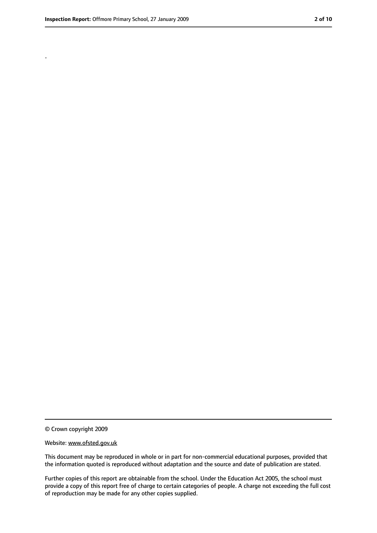.

<sup>©</sup> Crown copyright 2009

Website: www.ofsted.gov.uk

This document may be reproduced in whole or in part for non-commercial educational purposes, provided that the information quoted is reproduced without adaptation and the source and date of publication are stated.

Further copies of this report are obtainable from the school. Under the Education Act 2005, the school must provide a copy of this report free of charge to certain categories of people. A charge not exceeding the full cost of reproduction may be made for any other copies supplied.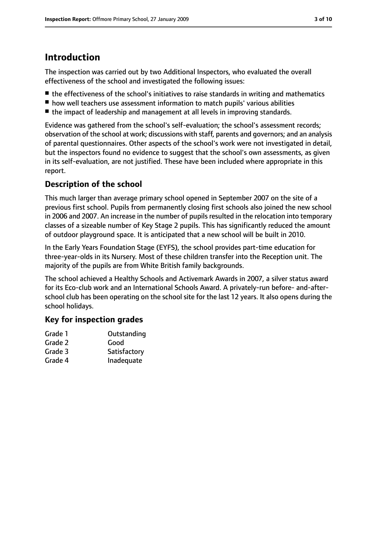# **Introduction**

The inspection was carried out by two Additional Inspectors, who evaluated the overall effectiveness of the school and investigated the following issues:

- the effectiveness of the school's initiatives to raise standards in writing and mathematics
- how well teachers use assessment information to match pupils' various abilities
- the impact of leadership and management at all levels in improving standards.

Evidence was gathered from the school's self-evaluation; the school's assessment records; observation of the school at work; discussions with staff, parents and governors; and an analysis of parental questionnaires. Other aspects of the school's work were not investigated in detail, but the inspectors found no evidence to suggest that the school's own assessments, as given in its self-evaluation, are not justified. These have been included where appropriate in this report.

## **Description of the school**

This much larger than average primary school opened in September 2007 on the site of a previous first school. Pupils from permanently closing first schools also joined the new school in 2006 and 2007. An increase in the number of pupils resulted in the relocation into temporary classes of a sizeable number of Key Stage 2 pupils. This has significantly reduced the amount of outdoor playground space. It is anticipated that a new school will be built in 2010.

In the Early Years Foundation Stage (EYFS), the school provides part-time education for three-year-olds in its Nursery. Most of these children transfer into the Reception unit. The majority of the pupils are from White British family backgrounds.

The school achieved a Healthy Schools and Activemark Awards in 2007, a silver status award for its Eco-club work and an International Schools Award. A privately-run before- and-afterschool club has been operating on the school site for the last 12 years. It also opens during the school holidays.

## **Key for inspection grades**

| Grade 1 | Outstanding  |
|---------|--------------|
| Grade 2 | Good         |
| Grade 3 | Satisfactory |
| Grade 4 | Inadequate   |
|         |              |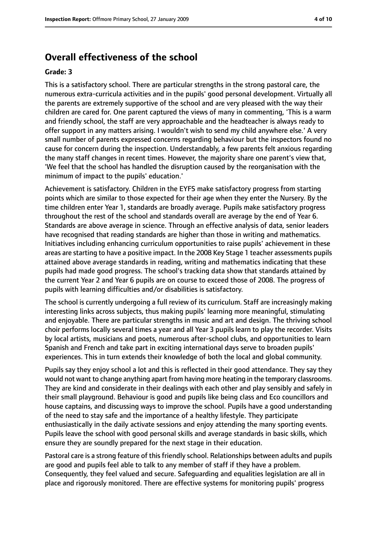## **Overall effectiveness of the school**

#### **Grade: 3**

This is a satisfactory school. There are particular strengths in the strong pastoral care, the numerous extra-curricula activities and in the pupils' good personal development. Virtually all the parents are extremely supportive of the school and are very pleased with the way their children are cared for. One parent captured the views of many in commenting, 'This is a warm and friendly school, the staff are very approachable and the headteacher is always ready to offer support in any matters arising. I wouldn't wish to send my child anywhere else.' A very small number of parents expressed concerns regarding behaviour but the inspectors found no cause for concern during the inspection. Understandably, a few parents felt anxious regarding the many staff changes in recent times. However, the majority share one parent's view that, 'We feel that the school has handled the disruption caused by the reorganisation with the minimum of impact to the pupils' education.'

Achievement is satisfactory. Children in the EYFS make satisfactory progress from starting points which are similar to those expected for their age when they enter the Nursery. By the time children enter Year 1, standards are broadly average. Pupils make satisfactory progress throughout the rest of the school and standards overall are average by the end of Year 6. Standards are above average in science. Through an effective analysis of data, senior leaders have recognised that reading standards are higher than those in writing and mathematics. Initiatives including enhancing curriculum opportunities to raise pupils' achievement in these areas are starting to have a positive impact. In the 2008 Key Stage 1 teacher assessments pupils attained above average standards in reading, writing and mathematics indicating that these pupils had made good progress. The school's tracking data show that standards attained by the current Year 2 and Year 6 pupils are on course to exceed those of 2008. The progress of pupils with learning difficulties and/or disabilities is satisfactory.

The school is currently undergoing a full review of its curriculum. Staff are increasingly making interesting links across subjects, thus making pupils' learning more meaningful, stimulating and enjoyable. There are particular strengths in music and art and design. The thriving school choir performs locally several times a year and all Year 3 pupils learn to play the recorder. Visits by local artists, musicians and poets, numerous after-school clubs, and opportunities to learn Spanish and French and take part in exciting international days serve to broaden pupils' experiences. This in turn extends their knowledge of both the local and global community.

Pupils say they enjoy school a lot and this is reflected in their good attendance. They say they would not want to change anything apart from having more heating in the temporary classrooms. They are kind and considerate in their dealings with each other and play sensibly and safely in their small playground. Behaviour is good and pupils like being class and Eco councillors and house captains, and discussing ways to improve the school. Pupils have a good understanding of the need to stay safe and the importance of a healthy lifestyle. They participate enthusiastically in the daily activate sessions and enjoy attending the many sporting events. Pupils leave the school with good personal skills and average standards in basic skills, which ensure they are soundly prepared for the next stage in their education.

Pastoral care is a strong feature of this friendly school. Relationships between adults and pupils are good and pupils feel able to talk to any member of staff if they have a problem. Consequently, they feel valued and secure. Safeguarding and equalities legislation are all in place and rigorously monitored. There are effective systems for monitoring pupils' progress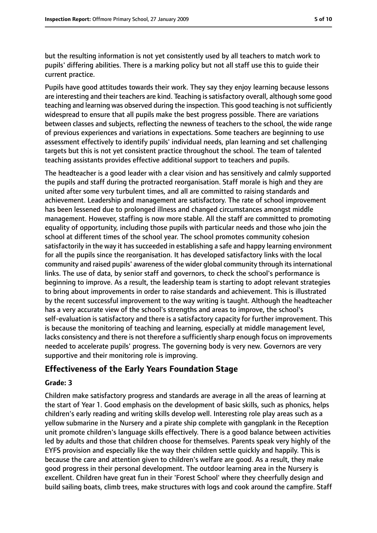but the resulting information is not yet consistently used by all teachers to match work to pupils' differing abilities. There is a marking policy but not all staff use this to guide their current practice.

Pupils have good attitudes towards their work. They say they enjoy learning because lessons are interesting and their teachers are kind. Teaching is satisfactory overall, although some good teaching and learning was observed during the inspection. This good teaching is not sufficiently widespread to ensure that all pupils make the best progress possible. There are variations between classes and subjects, reflecting the newness of teachers to the school, the wide range of previous experiences and variations in expectations. Some teachers are beginning to use assessment effectively to identify pupils' individual needs, plan learning and set challenging targets but this is not yet consistent practice throughout the school. The team of talented teaching assistants provides effective additional support to teachers and pupils.

The headteacher is a good leader with a clear vision and has sensitively and calmly supported the pupils and staff during the protracted reorganisation. Staff morale is high and they are united after some very turbulent times, and all are committed to raising standards and achievement. Leadership and management are satisfactory. The rate of school improvement has been lessened due to prolonged illness and changed circumstances amongst middle management. However, staffing is now more stable. All the staff are committed to promoting equality of opportunity, including those pupils with particular needs and those who join the school at different times of the school year. The school promotes community cohesion satisfactorily in the way it has succeeded in establishing a safe and happy learning environment for all the pupils since the reorganisation. It has developed satisfactory links with the local community and raised pupils' awareness of the wider global community through its international links. The use of data, by senior staff and governors, to check the school's performance is beginning to improve. As a result, the leadership team is starting to adopt relevant strategies to bring about improvements in order to raise standards and achievement. This is illustrated by the recent successful improvement to the way writing is taught. Although the headteacher has a very accurate view of the school's strengths and areas to improve, the school's self-evaluation is satisfactory and there is a satisfactory capacity for further improvement. This is because the monitoring of teaching and learning, especially at middle management level, lacks consistency and there is not therefore a sufficiently sharp enough focus on improvements needed to accelerate pupils' progress. The governing body is very new. Governors are very supportive and their monitoring role is improving.

## **Effectiveness of the Early Years Foundation Stage**

#### **Grade: 3**

Children make satisfactory progress and standards are average in all the areas of learning at the start of Year 1. Good emphasis on the development of basic skills, such as phonics, helps children's early reading and writing skills develop well. Interesting role play areas such as a yellow submarine in the Nursery and a pirate ship complete with gangplank in the Reception unit promote children's language skills effectively. There is a good balance between activities led by adults and those that children choose for themselves. Parents speak very highly of the EYFS provision and especially like the way their children settle quickly and happily. This is because the care and attention given to children's welfare are good. As a result, they make good progress in their personal development. The outdoor learning area in the Nursery is excellent. Children have great fun in their 'Forest School' where they cheerfully design and build sailing boats, climb trees, make structures with logs and cook around the campfire. Staff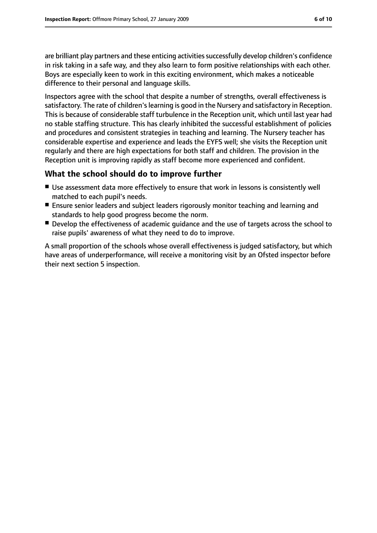are brilliant play partners and these enticing activities successfully develop children's confidence in risk taking in a safe way, and they also learn to form positive relationships with each other. Boys are especially keen to work in this exciting environment, which makes a noticeable difference to their personal and language skills.

Inspectors agree with the school that despite a number of strengths, overall effectiveness is satisfactory. The rate of children's learning is good in the Nursery and satisfactory in Reception. This is because of considerable staff turbulence in the Reception unit, which until last year had no stable staffing structure. This has clearly inhibited the successful establishment of policies and procedures and consistent strategies in teaching and learning. The Nursery teacher has considerable expertise and experience and leads the EYFS well; she visits the Reception unit regularly and there are high expectations for both staff and children. The provision in the Reception unit is improving rapidly as staff become more experienced and confident.

## **What the school should do to improve further**

- Use assessment data more effectively to ensure that work in lessons is consistently well matched to each pupil's needs.
- Ensure senior leaders and subject leaders rigorously monitor teaching and learning and standards to help good progress become the norm.
- Develop the effectiveness of academic quidance and the use of targets across the school to raise pupils' awareness of what they need to do to improve.

A small proportion of the schools whose overall effectiveness is judged satisfactory, but which have areas of underperformance, will receive a monitoring visit by an Ofsted inspector before their next section 5 inspection.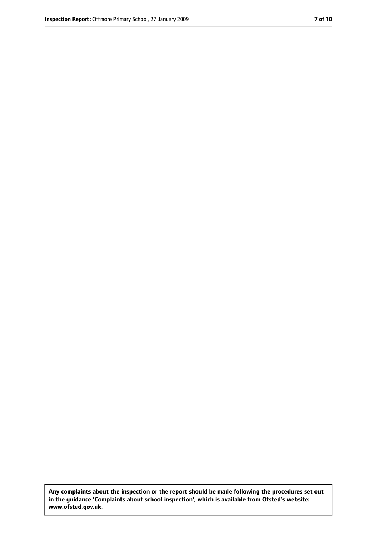**Any complaints about the inspection or the report should be made following the procedures set out in the guidance 'Complaints about school inspection', which is available from Ofsted's website: www.ofsted.gov.uk.**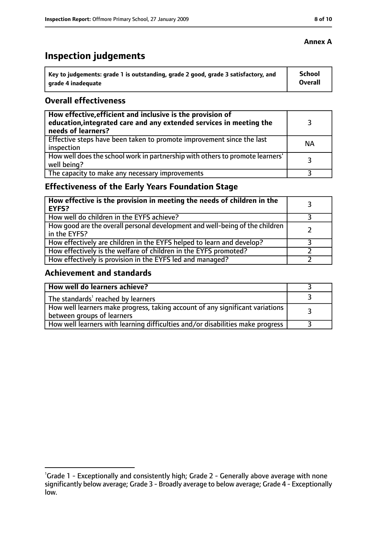# **Inspection judgements**

| ˈ Key to judgements: grade 1 is outstanding, grade 2 good, grade 3 satisfactory, and | <b>School</b>  |
|--------------------------------------------------------------------------------------|----------------|
| arade 4 inadequate                                                                   | <b>Overall</b> |

#### **Overall effectiveness**

| How effective, efficient and inclusive is the provision of<br>education, integrated care and any extended services in meeting the<br>needs of learners? |           |
|---------------------------------------------------------------------------------------------------------------------------------------------------------|-----------|
| Effective steps have been taken to promote improvement since the last<br>inspection                                                                     | <b>NA</b> |
| How well does the school work in partnership with others to promote learners'<br>well being?                                                            | 3         |
| The capacity to make any necessary improvements                                                                                                         |           |

## **Effectiveness of the Early Years Foundation Stage**

| How effective is the provision in meeting the needs of children in the<br>l EYFS?            |  |
|----------------------------------------------------------------------------------------------|--|
| How well do children in the EYFS achieve?                                                    |  |
| How good are the overall personal development and well-being of the children<br>in the EYFS? |  |
| How effectively are children in the EYFS helped to learn and develop?                        |  |
| How effectively is the welfare of children in the EYFS promoted?                             |  |
| How effectively is provision in the EYFS led and managed?                                    |  |

#### **Achievement and standards**

| How well do learners achieve?                                                               |  |
|---------------------------------------------------------------------------------------------|--|
| The standards <sup>1</sup> reached by learners                                              |  |
| $\mid$ How well learners make progress, taking account of any significant variations $\mid$ |  |
| between groups of learners                                                                  |  |
| How well learners with learning difficulties and/or disabilities make progress              |  |

### **Annex A**

<sup>&</sup>lt;sup>1</sup>Grade 1 - Exceptionally and consistently high; Grade 2 - Generally above average with none significantly below average; Grade 3 - Broadly average to below average; Grade 4 - Exceptionally low.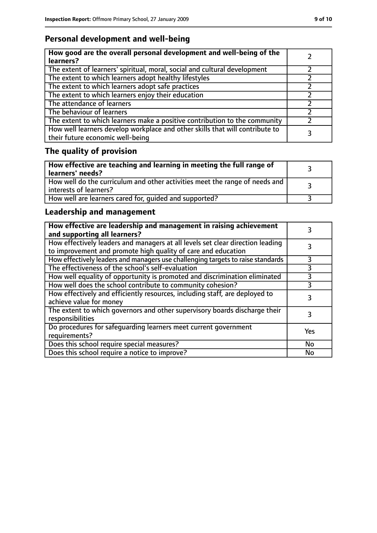## **Personal development and well-being**

| How good are the overall personal development and well-being of the<br>learners?                                 |  |
|------------------------------------------------------------------------------------------------------------------|--|
| The extent of learners' spiritual, moral, social and cultural development                                        |  |
| The extent to which learners adopt healthy lifestyles                                                            |  |
| The extent to which learners adopt safe practices                                                                |  |
| The extent to which learners enjoy their education                                                               |  |
| The attendance of learners                                                                                       |  |
| The behaviour of learners                                                                                        |  |
| The extent to which learners make a positive contribution to the community                                       |  |
| How well learners develop workplace and other skills that will contribute to<br>their future economic well-being |  |

# **The quality of provision**

| How effective are teaching and learning in meeting the full range of<br>  learners' needs?              |  |
|---------------------------------------------------------------------------------------------------------|--|
| How well do the curriculum and other activities meet the range of needs and<br>  interests of learners? |  |
| How well are learners cared for, quided and supported?                                                  |  |

## **Leadership and management**

| How effective are leadership and management in raising achievement<br>and supporting all learners?                                              |     |
|-------------------------------------------------------------------------------------------------------------------------------------------------|-----|
| How effectively leaders and managers at all levels set clear direction leading<br>to improvement and promote high quality of care and education |     |
| How effectively leaders and managers use challenging targets to raise standards                                                                 |     |
| The effectiveness of the school's self-evaluation                                                                                               | 3   |
| How well equality of opportunity is promoted and discrimination eliminated                                                                      | 3   |
| How well does the school contribute to community cohesion?                                                                                      | 3   |
| How effectively and efficiently resources, including staff, are deployed to<br>achieve value for money                                          | 3   |
| The extent to which governors and other supervisory boards discharge their<br>responsibilities                                                  |     |
| Do procedures for safequarding learners meet current government<br>requirements?                                                                | Yes |
| Does this school require special measures?                                                                                                      | No  |
| Does this school require a notice to improve?                                                                                                   | No  |